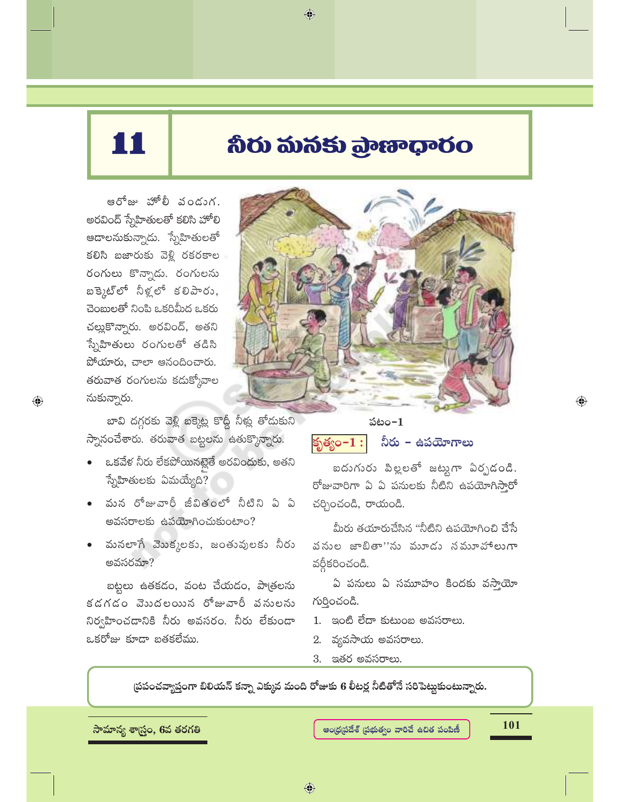# 11

## నీరు మనకు ప్రాణాధారం

 $\bigcirc$ 

ఆరోజు హోలీ వండుగ. అరవింద్ స్నేహితులతో కలిసి హోలి ఆదాలనుకున్నాడు. స్నేహితులతో కలిసి బజారుకు వెళ్లి రకరకాల రంగులు కొన్నాడు. రంగులను బక్కెట్లో నీళ్లలో కలిపారు, చెంబులతో నింపి ఒకరిమీద ఒకరు చల్లుకొన్నారు. అరవింద్, అతని స్నేహితులు రంగులతో తడిసి పోయారు, చాలా ఆనందించారు. తరువాత రంగులను కడుక్కోవాల నుకున్నారు.

 $\bigoplus$ 

బావి దగ్గరకు వెళ్లి బక్కెట్ల కొద్దీ నీళ్లు తోడుకుని స్నానంచేశారు. తరువాత బట్టలను ఉతుక్కొన్నారు.

- ఒకవేళ నీరు లేకపోయినట్లైతే అరవిందుకు, అతని స్నేహితులకు ఏమయ్యేది?
- మన రోజువారీ జీవితంలో నీటిని ఏ ఏ అవసరాలకు ఉపయోగించుకుంటాం?
- మనలాగే మొక్కలకు, జంతువులకు నీరు అవసరమా?

బట్టలు ఉతకడం, వంట చేయడం, పాౖతలను కడగడం వెబదలయిన రోజువారీ పనులను నిర్వహించడానికి నీరు అవసరం. నీరు లేకుండా ఒకరోజు కూడా బతకలేము.



పటం– $\mathbf 1$ నీరు – ఉపయోగాలు కృత్యం– $1:|$ 

ఐదుగురు పిల్లలతో జట్టుగా ఏర్పడండి. రోజువారిగా ఏ ఏ పనులకు నీటిని ఉపయోగిస్తారో చర్చించండి, రాయండి.

మీరు తయారుచేసిన "నీటిని ఉపయోగించి చేసే వనుల జాబితా''ను మూడు నమూహాలుగా వర్ధీకరించండి.

ఏ పనులు ఏ సమూహం కిందకు వసాయైా గుర్తించండి.

- 1. ఇంటి లేదా కుటుంబ అవసరాలు.
- 2. వ్యవసాయ అవసరాలు.
- 3. ఇతర అవసరాలు.

స్రపంచవ్యాప్తంగా బిలియన్ కన్నా ఎక్కువ మంది రోజుకు 6 లీటర్ల నీటితోనే సరిపెట్టుకుంటున్నారు.

సామాన్య శాౖస్త్రం, 6వ తరగతి

ఆంధ్రప్రదేశ్ (పభుత్వం వారిచే ఉచిత పంపిణీ

101

 $\bigoplus$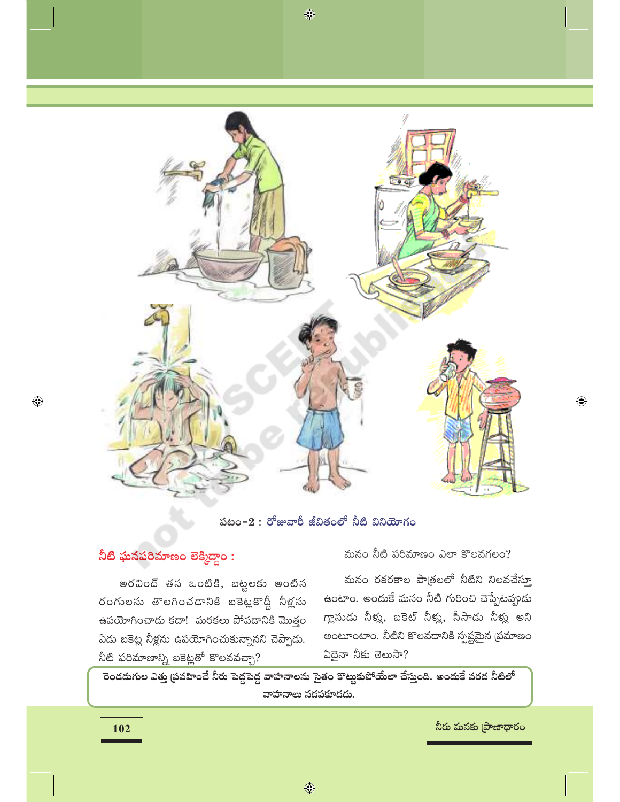

## పటం−2 : రోజువారీ జీవితంలో నీటి వినియోగం

## నీటి ఘనపరిమాణం లెక్మిద్దాం :

అరవింద్ తన ఒంటికి, బట్టలకు అంటిన రంగులను తొలగించడానికి బకెట్లకొద్దీ నీళ్లను ఉపయోగించాడు కదా! మరకలు పోవడానికి మొత్తం ఏడు బకెట్ల నీళ్లను ఉపయోగించుకున్నానని చెప్పాడు. నీటి పరిమాణాన్ని బకెట్లతో కొలవవచ్చా?

మనం నీటి పరిమాణం ఎలా కొలవగలం?

మనం రకరకాల పాత్రలలో నీటిని నిలవచేస్తూ ఉంటాం. అందుకే మనం నీటి గురించి చెప్పేటప్పుడు గ్లాసుడు నీళ్లు, బకెట్ నీళ్లు, సీసాడు నీళ్లు అని అంటూంటాం. నీటిని కొలవదానికి స్పష్టమైన (పమాణం  $\delta$ దైనా నీకు తెలుసా?

రెండడుగుల ఎత్తు (పవహించే నీరు పెద్దపెద్ద వాహనాలను సైతం కొట్టుకుపోయేలా చేస్తుంది. అందుకే వరద నీటిలో వాహనాలు నడపకూడదు.

నీరు మనకు (పాణాధారం

 $\bigoplus$ 

 $\bigoplus$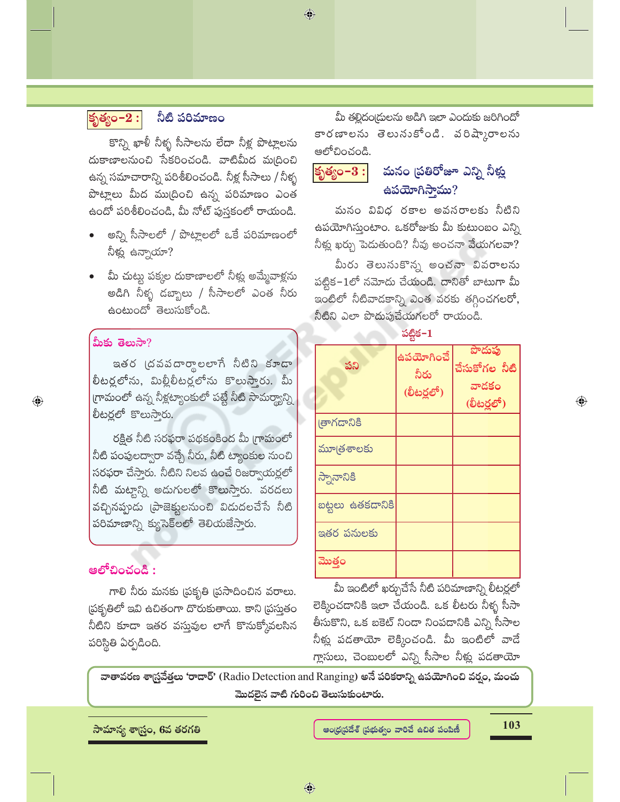## కృత్యం $-2:$

## నీటి పరిమాణం

కొన్ని ఖాళీ నీళ్ళ సీసాలను లేదా నీళ్ల పొట్లాలను దుకాణాలనుంచి సేకరించండి. వాటిమీద మ(దించి ఉన్న సమాచారాన్ని పరిశీలించండి. నీళ్ల సీసాలు / నీళ్ళ పొట్లాలు మీద ము(దించి ఉన్న పరిమాణం ఎంత ఉందో పరిశీలించండి, మీ నోట్ పుస్తకంలో రాయండి.

- అన్ని సీసాలలో / పొట్లాలలో ఒకే పరిమాణంలో నీళ్లు ఉన్నాయా?
- మీ చుట్టు పక్కల దుకాణాలలో నీళ్లు అమ్మేవాళ్లను అడిగి నీళ్ళ డబ్బాలు / సీసాలలో ఎంత నీరు ఉంటుందో తెలుసుకోండి.

#### మీకు తెలుసా?

 $\bigoplus$ 

ఇతర ద్రవపదార్థాలలాగే నీటిని కూడా లీటర్లలోను, మిల్లీలీటర్లలోను కొలుస్తారు. మీ గ్రామంలో ఉన్న నీళ్లట్యాంకులో పట్టే నీటి సామర్థ్యాన్ని లీటర్లలో కొలుసారు.

రక్షిత నీటి సరఫరా పథకంకింద మీ గ్రామంలో నీటి పంపులద్వారా వచ్చే నీరు, నీటి ట్యాంకుల నుంచి సరఫరా చేసారు. నీటిని నిలవ ఉంచే రిజర్వాయర్లలో నీటి మట్టాన్ని అడుగులలో కొలుస్తారు. వరదలు వచ్చినప్పుడు (పాజెక్టులనుంచి విడుదలచేసే నీటి పరిమాణాన్ని క్యుసెక్లలో తెలియజేస్తారు.

## ఆలోచించండి :

గాలి నీరు మనకు (పకృతి (పసాదించిన వరాలు. ప్రకృతిలో ఇవి ఉచితంగా దొరుకుతాయి. కాని (పసుతం నీటిని కూడా ఇతర వస్తువుల లాగే కొనుక్కోవలసిన పరిస్థితి ఏర్పడింది.

మీ తల్లిదం(దులను అడిగి ఇలా ఎందుకు జరిగిందో కారణాలను తెలునుకోండి. వరిష్కారాలను ఆలోచించండి.

 $\bigcirc$ 

#### మనం (పతిరోజూ ఎన్ని నీళ్లు కృత్యం- $3:$  $\triangle$ పయోగిస్తాము?

మనం వివిధ రకాల అవసరాలకు నీటిని ఉపయోగిస్తుంటాం. ఒకరోజుకు మీ కుటుంబం ఎన్ని నీళ్లు ఖర్చు పెడుతుంది? నీవు అంచనా వేయగలవా?

మీరు తెలుసుకొన్న అంచనా వివరాలను పట్టిక-1లో నమోదు చేయండి. దానితో బాటుగా మీ ఇంటిలో నీటివాడకాన్ని ఎంత వరకు తగ్గించగలరో, నీటిని ఎలా పొదుపుచేయగలరో రాయండి.

పట్టిక–1

| పని              | ఉపయోగించే<br>నీరు<br>(లీటర్లలో) | పొదుపు<br>చేసుకోగల నీటి<br>వాదకం<br>(లీటర్లలో) |
|------------------|---------------------------------|------------------------------------------------|
| తాగడానికి        |                                 |                                                |
| మూత్రశాలకు       |                                 |                                                |
| స్నానానికి       |                                 |                                                |
| బట్టలు ఉతకడానికి |                                 |                                                |
| ఇతర పనులకు       |                                 |                                                |
| ಮొత్తం           |                                 |                                                |

మీ ఇంటిలో ఖర్చుచేసే నీటి పరిమాణాన్ని లీటర్లలో లెక్కించదానికి ఇలా చేయండి. ఒక లీటరు నీళ్ళ సీసా తీసుకొని, ఒక బకెట్ నిండా నింపడానికి ఎన్ని సీసాల నీళ్లు పడతాయో లెక్కించండి. మీ ఇంటిలో వాడే గ్లాసులు, చెంబులలో ఎన్ని సీసాల నీళ్లు పడతాయో

వాతావరణ శాస్ర్రవేత్తలు 'రాదార్' (Radio Detection and Ranging) అనే పరికరాన్ని ఉపయోగించి వర్షం, మంచు మొదలైన వాటి గురించి తెలుసుకుంటారు.

సామాన్య శాౖస్త్రం, 6వ తరగతి

ఆంధ్రప్రదేశ్ (పభుత్వం వారిచే ఉచిత పంపిణీ

103

 $\textcolor{black}{\textcolor{black}{\bigoplus}}$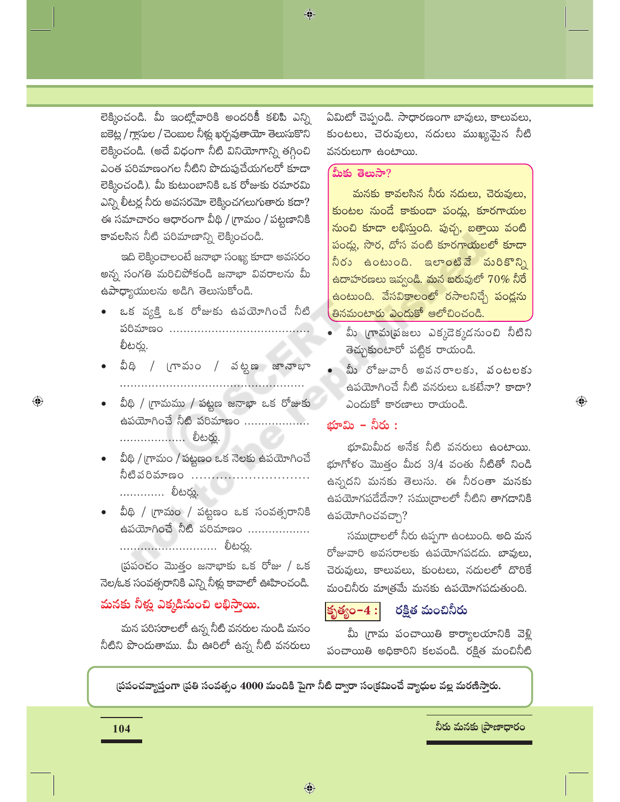లెక్మించండి. మీ ఇంట్లోవారికి అందరికీ కలిపి ఎన్ని బకెట్ల / గ్లాసుల / చెంబుల నీళ్లు ఖర్చవుతాయో తెలుసుకొని లెక్కించండి. (అదే విధంగా నీటి వినియోగాన్ని తగ్గించి ఎంత పరిమాణంగల నీటిని పొదుపుచేయగలరో కూడా లెక్కించండి). మీ కుటుంబానికి ఒక రోజుకు రమారమి ఎన్ని లీటర్ల నీరు అవసరమో లెక్కించగలుగుతారు కదా? ఈ సమాచారం ఆధారంగా వీథి / గ్రామం / పట్టణానికి కావలసిన నీటి పరిమాణాన్ని లెక్కించండి.

ఇది లెక్కించాలంటే జనాభా సంఖ్య కూడా అవసరం అన్న సంగతి మరిచిపోకండి జనాభా వివరాలను మీ ఉపాధ్యాయులను అడిగి తెలుసుకోండి.

- ఒక వ్యక్తి ఒక రోజుకు ఉపయోగించే నీటి లీటర్లు.
- వీధి / గ్రామం / వట్టణ జానాభా .....................................<u>.</u>....<del>...</del>.........
- వీథి / గ్రామము / పట్టణ జనాభా ఒక రోజుకు ఉపయోగించే నీటి పరిమాణం ................... ................... లీటర్లు.
- వీథి / గ్రామం / పట్టణం ఒక నెలకు ఉపయోగించే నీటిపరిమాణం ..................... ............. లీటర్ను.
- వీథి / గ్రామం / పట్టణం ఒక సంవత్సరానికి ఉపయోగించే నీటి పరిమాణం .................. .............................. లీటర్ను.

(పపంచం మొత్తం జనాభాకు ఒక రోజు / ఒక నెల/ఒక సంవత్సరానికి ఎన్ని నీళ్లు కావాలో ఊహించండి.

## మనకు నీక్షు ఎక్కడినుంచి లభిస్తాయి.

మన పరిసరాలలో ఉన్న నీటి వనరుల నుండి మనం నీటిని పొందుతాము. మీ ఊరిలో ఉన్న నీటి వనరులు ఏమిటో చెప్పండి. సాధారణంగా బావులు, కాలువలు, కుంటలు, చెరువులు, నదులు ముఖ్యమైన నీటి వనరులుగా ఉంటాయి.

#### మీకు తెలుసా?

మనకు కావలసిన నీరు నదులు, చెరువులు, కుంటల నుండే కాకుండా పండ్లు, కూరగాయల నుంచి కూడా లభిస్తుంది. పుచ్చ, బత్తాయి వంటి పండ్లు, సొర, దోస వంటి కూరగాయలలో కూడా నీరు ఉంటుంది. ఇలాంటివే మరికొన్ని <u>ఉదాహరణలు ఇవ్వండి. మన బరువులో  $70\%$  నీరే</u> ఉంటుంది. వేసవికాలంలో రసాలనిచ్చే పండ్లను తినమంటారు ఎందుకో ఆలోచించండి.

- మీ గ్రామ్మడజలు ఎక్కడెక్కడనుంచి నీటిని తెచ్చుకుంటారో పట్టిక రాయండి.
- మీ రోజువారీ అవసరాలకు, వంటలకు ఉపయోగించే నీటి వనరులు ఒకటేనా? కాదా? ఎందుకో కారణాలు రాయండి.

 $\textcolor{black}{\textcircled{\ell}}$ 

#### భూమి – నీరు :

భూమిమీద అనేక నీటి వనరులు ఉంటాయి. భూగోళం మొత్తం మీద  $3/4$  వంతు నీటితో నిండి ఉన్నదని మనకు తెలుసు. ఈ నీరంతా మనకు ఉపయోగపడేదేనా? సము(దాలలో నీటిని తాగడానికి ఉపయోగించవచ్చా?

సముద్రాలలో నీరు ఉప్పగా ఉంటుంది. అది మన రోజువారి అవసరాలకు ఉపయోగపడదు. బావులు, చెరువులు, కాలువలు, కుంటలు, నదులలో దొరికే మంచినీరు మాత్రమే మనకు ఉపయోగపడుతుంది.

#### |కృత్యం– $4:$ రక్షిత మంచినీరు

మీ గ్రామ పంచాయితి కార్యాలయానికి వెళ్లి పంచాయితి అధికారిని కలవండి. రక్షిత మంచినీటి

(పపంచవ్యాప్తంగా (పతి సంవత్సం 4000 మందికి పైగా నీటి ద్వారా సం(కమించే వ్యాధుల వల్ల మరణిస్తారు.

నీరు మనకు [పాణాధారం

 $\bigcirc$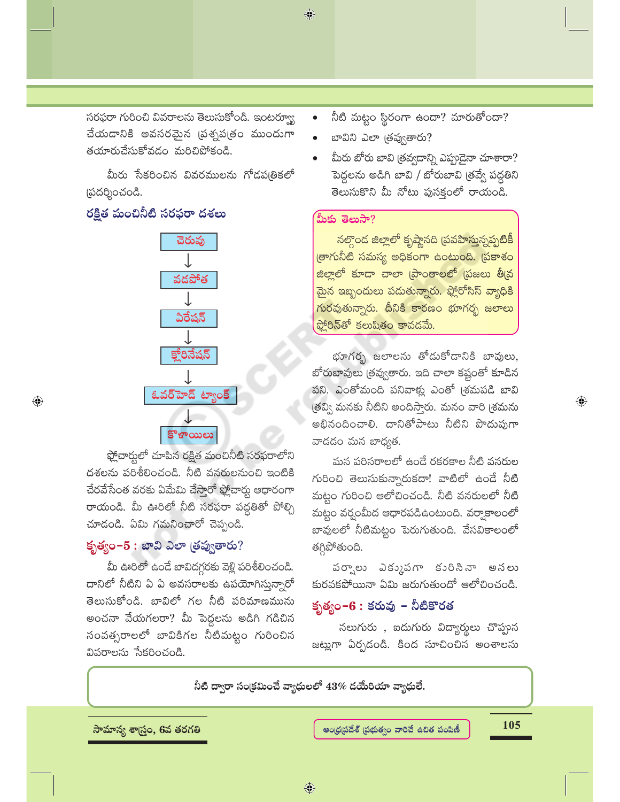సరఫరా గురించి వివరాలను తెలుసుకోండి. ఇంటర్వ్యూ చేయడానికి అవసరమైన <mark>ప్రశ్నప(తం ముందుగా</mark> తయారుచేసుకోవడం మరిచిపోకండి.

మీరు సేకరించిన వివరములను గోడపఱ్రికలో (పదర్శించండి.

## రక్షిత మంచినీటి సరఫరా దశలు

 $\bigoplus$ 



ఫ్లోచార్హులో చూపిన రక్షిత మంచినీటి సరఫరాలోని దశలను పరిశీలించండి. నీటి వనరులనుంచి ఇంటికి చేరవేసేంత వరకు ఏమేమి చేస్తారో ఫ్లోచార్లు ఆధారంగా రాయండి. మీ ఊరిలో నీటి సరఫరా పద్ధతితో పోల్చి చూడండి. ఏమి గమనించారో చెప్పండి.

## కృత్యం-5: బావి ఎలా త్రవ్వతారు?

మీ ఊరిలో ఉండే బావిదగ్గరకు వెళ్లి పరిశీలించండి. దానిలో నీటిని ఏ ఏ అవసరాలకు ఉపయోగిస్తున్నారో తెలుసుకోండి. బావిలో గల నీటి పరిమాణమును అంచనా వేయగలరా? మీ పెద్దలను అడిగి గడిచిన సంవత్సరాలలో బావికిగల నీటిమట్టం గురించిన వివరాలను సేకరించండి.

- నీటి మట్టం స్థిరంగా ఉందా? మారుతోందా?
- బావిని ఎలా త్రవ్వతారు?
- మీరు బోరు బావి త్రవ్వదాన్ని ఎప్పుడైనా చూశారా? పెద్దలను అడిగి బావి / బోరుబావి త్రవ్వే పద్ధతిని తెలుసుకొని మీ నోటు పుసక్తంలో రాయండి.

#### మీకు తెలుసా?

<mark>నల్గొంద జిల్లాలో కృష్ణానది (పవహిస్తున్నప్పటికీ</mark> త్రాగునీటి సమస్య అధికంగా ఉంటుంది. (పకాశం జిల్లాలో కూడా చాలా (పాంతాలలో (పజలు తీ(వ <mark>మైన ఇబ్బందులు పదుతున్నారు. ఫ్లోరోసిస్ వ్యాధిక</mark>ి గురవుతున్నారు. దీనికి కారణం భూగర్భ జలాలు ఫ్లోరిన్తో కలుషితం కావడమే.

భూగర్భ జలాలను తోడుకోడానికి బావులు, బోరుబావులు త్రవ్వతారు. ఇది చాలా కష్టంతో కూడిన పని. ఎంతోమంది పనివాళ్లు ఎంతో (శమపడి బావి త్రవ్వి మనకు నీటిని అందిస్తారు. మనం వారి (శమను అభినందించాలి. దానితోపాటు నీటిని పొదుపుగా వాదదం మన బాధ్యత.

మన పరిసరాలలో ఉండే రకరకాల నీటి వనరుల గురించి తెలుసుకున్నారుకదా! వాటిలో ఉండే నీటి మట్టం గురించి ఆలోచించండి. నీటి వనరులలో నీటి మట్టం వర్షంమీద ఆధారపడిఉంటుంది. వర్వాకాలంలో బావులలో నీటిమట్టం పెరుగుతుంది. వేసవికాలంలో తగ్గిపోతుంది.

వర్వాలు ఎక్కువగా కురిసినా అనలు కురవకపోయినా ఏమి జరుగుతుందో ఆలోచించండి.

## కృత్యం−6 : కరువు − నీటికొరత

నలుగురు , ఐదుగురు విద్యార్థులు చొప్పున జట్లుగా ఏర్పడండి. కింద సూచించిన అంశాలను

నీటి ద్వారా సంక్రమించే వ్యాధులలో 43% దయేరియా వ్యాధులే.

సామాన్య శాౖస్త్రం, 6వ తరగతి

105

 $\textcolor{black}{\textcircled{\ell}}$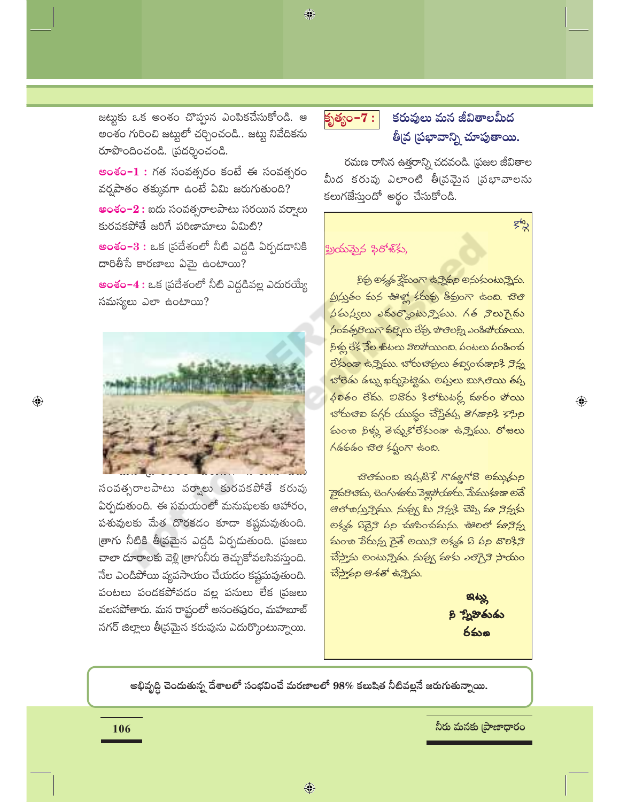జట్టుకు ఒక అంశం చొప్పున ఎంపికచేసుకోండి. ఆ అంశం గురించి జట్టులో చర్చించండి.. జట్టు నివేదికను రూపొందించండి. (పదర్శించండి.

**అంశం–1 :** గత సంవత్సరం కంటే ఈ సంవత్సరం వర్షపాతం తక్కువగా ఉంటే ఏమి జరుగుతుంది?

**అంశం–2 :** ఐదు సంవత్సరాలపాటు సరయిన వర్వాలు కురవకపోతే జరిగే పరిణామాలు ఏమిటి?

**అంశం–3 :** ఒక (పదేశంలో నీటి ఎద్దడి ఏర్పడదానికి  $\varpi$ రితీసే కారణాలు ఏమై ఉంటాయి?

**అంశం–4 :** ఒక (పదేశంలో నీటి ఎద్దడివల్ల ఎదురయ్యే సమస్యలు ఎలా ఉంటాయి?



<mark>సంవత్సరాలపాటు వర్నాలు కురవకపోతే కరువు</mark> ఏర్పదుతుంది. ఈ సమయంలో మనుషులకు ఆహారం, పశువులకు మేత దొరకడం కూడా కష్టమవుతుంది. (తాగు నీటికి తీ(వమైన ఎద్దడి ఏర్పడుతుంది. (పజలు చాలా దూరాలకు వెళ్లి త్రాగునీరు తెచ్చుకోవలసివస్తుంది. నేల ఎండిపోయి వ్యవసాయం చేయడం కష్టమవుతుంది. పంటలు పండకపోవడం వల్ల పనులు లేక (పజలు వలసపోతారు. మన రాష్ట్రంలో అనంతపురం, మహబూబ్ నగర్ జిల్లాలు తీ[వమైన కరువును ఎదుర్కొంటున్నాయి.



 $\bigcirc$ 

## కరువులు మన జీవితాలమీద తీవ్ర ప్రభావాన్ని చూపుతాయి.

gla

 $\bigoplus$ 

రమణ రాసిన ఉత్తరాన్ని చదవండి. (పజల జీవితాల మీద కరువు ఎలాంటి తీ[వమైన [పభావాలను కలుగజేస్తుందో అర్థం చేసుకోండి.

## ప్రియమైన ఫిరోజ్కు,

కిక్ర అక్కడ క్షేమంగా ఉన్నికల అనుకుంటున్నిను. ప్ర/్లుతం కున ఊళ్ల కకువు తీవ్రంగా ఉంది. చొలి  $\frac{1}{2}$ మన్యలు ఎమర్మాంటున్నిము. గత నొలుగైమ <mark>సంవత్సరొలుగా వర్నెలు లేవు. పొలెలక్ని ఎండిపోయాయి.</mark> <u> క్రిళ్లు లేక నేల ళుటలు కొలిపోయింది. పంటలు పండించ</u> రేకుండా ఉన్నిము. భోరుభిక్రులు తబ్వంచడానికి నిన్న భోలెడు డబ్బు ఖర్చుపెట్టిడు. అప్తులు బుగిల<mark>ెయి</mark> తప్ప  $\overline{\phi}$ లతం లేదు. ఐదొరు శిలామిటర్ల దూరం పోయి <u> భారుచివి వగ్గర యుద్ధం చేస్తేత్తు తిగ్గశానికి కాసిని</u> <mark>కుంశా సిళ్లు తెచ్చుకోలేకుండా ఉన్నిము. రోజలు</mark> గడకడం చిలి కష్టంగా ఉంది.

చెలికుంబ ఇప్పటికే గొడ్డుగోది అమ్మకుల <del>వైప</del>రిళాను, టెంగుళురు పెళ్లిస్తాయురు. మేము⁄<mark>కాశా అనే</mark> ఆలాచిస్తున్నెము. నువ్వు మి నిన్న\$ చెప్పి కూ నిన్నకు లక్మఢ్ కొన్నైని పల్ల చుకించమను. ఊలలో కూనిన్న మంశా పేరున్న రైతే అయిని అక్మశ్ కి పల నొలికిని చేస్తాను అంటున్నిడు. నుక్మ్య కూకు ఎలిగై*ని* సాయం చేస్తానని ఆశతో ఉన్నిను.

> ಇಟ್ಲು ని స్నేహితుడు రమం

అభివృద్ధి చెందుతున్న దేశాలలో సంభవించే మరణాలలో 98% కలుషిత నీటివల్లనే జరుగుతున్నాయి.

నీరు మనకు [పాణాధారం

 $\textcolor{black}{\textcolor{black}{\bigcirc}}$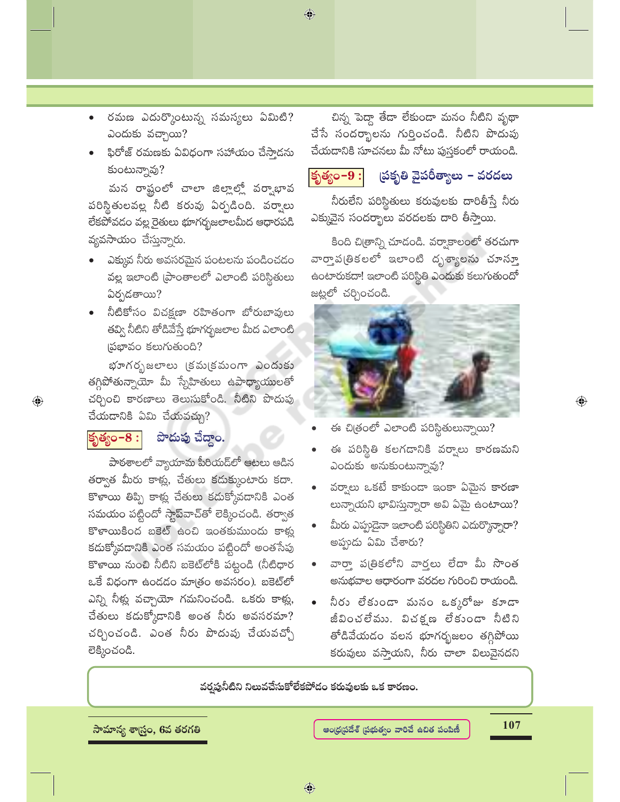- రమణ ఎదుర్కొంటున్న సమస్యలు ఏమిటి? ఎందుకు వచ్చాయి?
- ఫిరోజ్ రమణకు ఏవిధంగా సహాయం చేస్తాడను కుంటున్నావు?

మన రాష్టంలో చాలా జిల్లాల్లో వర్వాభావ పరిస్థితులవల్ల నీటి కరువు ఏర్పడింది. వర్వాలు లేకపోవడం వల్ల రైతులు భూగర్భజలాలమీద ఆధారపడి వ్యవసాయం చేస్తున్నారు.

- ఎక్కువ నీరు అవసరమైన పంటలను పండించడం వల్ల ఇలాంటి [పాంతాలలో ఎలాంటి పరిస్థితులు ఏర్పడతాయి?
- నీటికోసం విచక్షణా రహితంగా బోరుబావులు తవ్వి నీటిని తోడివేస్తే భూగర్భజలాల మీద ఎలాంటి సభావం కలుగుతుంది?

భూగరృజలాలు (కమ(కమంగా ఎందుకు తగ్గిపోతున్నాయో మీ స్నేహితులు ఉపాధ్యాయులతో చర్చించి కారణాలు తెలుసుకోండి. నీటిని పొదుపు చేయడానికి ఏమి చేయవచ్చు?

#### పొదుపు చేద్దాం. కృత్యం– $8:|$

 $\bigoplus$ 

పాఠశాలలో వ్యాయామ పీరియడ్లో ఆటలు ఆడిన తర్వాత మీరు కాట్ల, చేతులు కదుక్కుంటారు కదా. కొళాయి తిప్పి కాళ్లు చేతులు కడుక్కోవడానికి ఎంత సమయం పట్టిందో స్టాప్వాచ్తో లెక్కించండి. తర్వాత కొళాయికింద బకెట్ ఉంచి ఇంతకుముందు కాళ్ళ కదుక్కోవడానికి ఎంత సమయం పట్టిందో అంతసేపు కొళాయి నుంచి నీటిని బకెట్**లోకి పట్టండి (నీటిధా**ర ఒకే విధంగా ఉండడం మాత్రం అవసరం). బకెట్లో ఎన్ని నీళ్లు వచ్చాయో గమనించండి. ఒకరు కాళ్లు, చేతులు కడుక్కోడానికి అంత నీరు అవసరమా? చర్చించండి. ఎంత నీరు పొదుపు చేయవచ్చో లెక్కించండి.

చిన్న పెద్దా తేడా లేకుండా మనం నీటిని వృథా చేసే సందర్భాలను గుర్తించండి. నీటిని పొదుపు చేయడానికి సూచనలు మీ నోటు పుస్తకంలో రాయండి.

 $\bigcirc$ 

#### ద్రకృతి వైపరీత్యాలు – వరదలు కృత్యం- $9:$

నీరులేని పరిస్థితులు కరువులకు దారితీస్తే నీరు ఎక్కువైన సందర్భాలు వరదలకు దారి తీస్తాయి.

కింది చి(తాన్ని చూడండి. వర్వాకాలంలో తరచుగా వార్తాప(తికలలో ఇలాంటి దృశ్యాలను చూస్తూ ఉంటారుకదా! ఇలాంటి పరిస్థితి ఎందుకు కలుగుతుందో జట్లలో చర్చించండి.



ఈ చిత్రంలో ఎలాంటి పరిస్థితులున్నాయి?

- ఈ పరిస్థితి కలగడానికి వర్వాలు కారణమని ఎందుకు అనుకుంటున్నావు?
- వర్వాలు ఒకటే కాకుండా ఇంకా ఏమైన కారణా లున్నాయని భావిస్తున్నారా అవి ఏమై ఉంటాయి?
- మీరు ఎప్పుడైనా ఇలాంటి పరిస్థితిని ఎదుర్కొన్నారా? అప్పుడు ఏమి చేశారు?
- వారా పత్రికలోని వార్తలు లేదా మీ సొంత అనుభవాల ఆధారంగా వరదల గురించి రాయండి.
- నీరు లేకుండా మనం ఒక్కరోజు కూడా జీవించలేము. విచక్షణ లేకుండా నీటిని తోడివేయడం వలన భూగర్భజలం తగ్గిపోయి కరువులు వస్తాయని, నీరు చాలా విలువైనదని

వర్తపునీటిని నిలువచేసుకోలేకపోడం కరువులకు ఒక కారణం.

సామాన్య శాౖస్త్రం, 6వ తరగతి

107

 $\textcolor{black}{\textcircled{\ell}}$ 

 $\bigoplus$